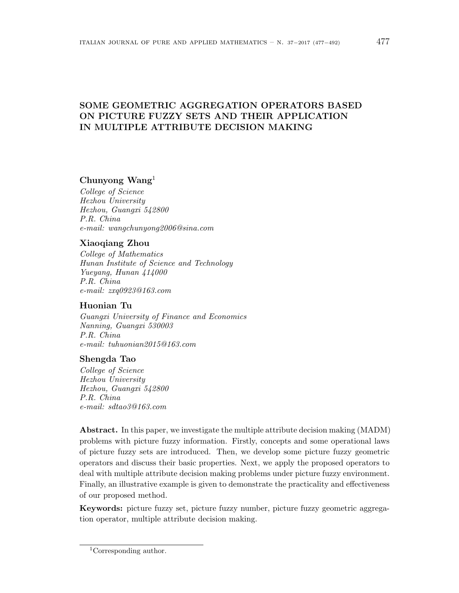# **SOME GEOMETRIC AGGREGATION OPERATORS BASED ON PICTURE FUZZY SETS AND THEIR APPLICATION IN MULTIPLE ATTRIBUTE DECISION MAKING**

# **Chunyong Wang**<sup>1</sup>

*College of Science Hezhou University Hezhou, Guangxi 542800 P.R. China e-mail: wangchunyong2006@sina.com*

# **Xiaoqiang Zhou**

*College of Mathematics Hunan Institute of Science and Technology Yueyang, Hunan 414000 P.R. China e-mail: zxq0923@163.com*

# **Huonian Tu**

*Guangxi University of Finance and Economics Nanning, Guangxi 530003 P.R. China e-mail: tuhuonian2015@163.com*

# **Shengda Tao**

*College of Science Hezhou University Hezhou, Guangxi 542800 P.R. China e-mail: sdtao3@163.com*

**Abstract.** In this paper, we investigate the multiple attribute decision making (MADM) problems with picture fuzzy information. Firstly, concepts and some operational laws of picture fuzzy sets are introduced. Then, we develop some picture fuzzy geometric operators and discuss their basic properties. Next, we apply the proposed operators to deal with multiple attribute decision making problems under picture fuzzy environment. Finally, an illustrative example is given to demonstrate the practicality and effectiveness of our proposed method.

**Keywords:** picture fuzzy set, picture fuzzy number, picture fuzzy geometric aggregation operator, multiple attribute decision making.

<sup>1</sup>Corresponding author.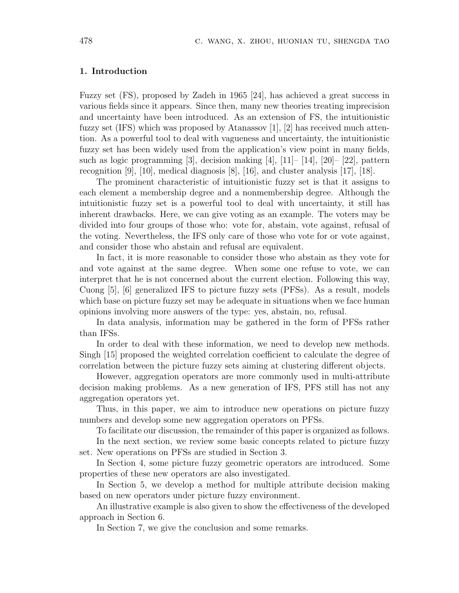## **1. Introduction**

Fuzzy set (FS), proposed by Zadeh in 1965 [24], has achieved a great success in various fields since it appears. Since then, many new theories treating imprecision and uncertainty have been introduced. As an extension of FS, the intuitionistic fuzzy set (IFS) which was proposed by Atanassov [1], [2] has received much attention. As a powerful tool to deal with vagueness and uncertainty, the intuitionistic fuzzy set has been widely used from the application's view point in many fields, such as logic programming [3], decision making [4], [11]– [14], [20]– [22], pattern recognition [9], [10], medical diagnosis [8], [16], and cluster analysis [17], [18].

The prominent characteristic of intuitionistic fuzzy set is that it assigns to each element a membership degree and a nonmembership degree. Although the intuitionistic fuzzy set is a powerful tool to deal with uncertainty, it still has inherent drawbacks. Here, we can give voting as an example. The voters may be divided into four groups of those who: vote for, abstain, vote against, refusal of the voting. Nevertheless, the IFS only care of those who vote for or vote against, and consider those who abstain and refusal are equivalent.

In fact, it is more reasonable to consider those who abstain as they vote for and vote against at the same degree. When some one refuse to vote, we can interpret that he is not concerned about the current election. Following this way, Cuong [5], [6] generalized IFS to picture fuzzy sets (PFSs). As a result, models which base on picture fuzzy set may be adequate in situations when we face human opinions involving more answers of the type: yes, abstain, no, refusal.

In data analysis, information may be gathered in the form of PFSs rather than IFSs.

In order to deal with these information, we need to develop new methods. Singh [15] proposed the weighted correlation coefficient to calculate the degree of correlation between the picture fuzzy sets aiming at clustering different objects.

However, aggregation operators are more commonly used in multi-attribute decision making problems. As a new generation of IFS, PFS still has not any aggregation operators yet.

Thus, in this paper, we aim to introduce new operations on picture fuzzy numbers and develop some new aggregation operators on PFSs.

To facilitate our discussion, the remainder of this paper is organized as follows.

In the next section, we review some basic concepts related to picture fuzzy set. New operations on PFSs are studied in Section 3.

In Section 4, some picture fuzzy geometric operators are introduced. Some properties of these new operators are also investigated.

In Section 5, we develop a method for multiple attribute decision making based on new operators under picture fuzzy environment.

An illustrative example is also given to show the effectiveness of the developed approach in Section 6.

In Section 7, we give the conclusion and some remarks.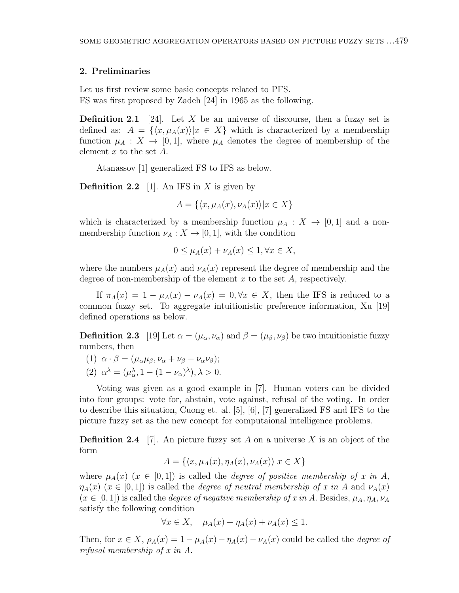## **2. Preliminaries**

Let us first review some basic concepts related to PFS. FS was first proposed by Zadeh [24] in 1965 as the following.

**Definition 2.1** [24]. Let *X* be an universe of discourse, then a fuzzy set is defined as:  $A = \{(x, \mu_A(x)) | x \in X\}$  which is characterized by a membership function  $\mu_A : X \to [0,1]$ , where  $\mu_A$  denotes the degree of membership of the element *x* to the set *A*.

Atanassov [1] generalized FS to IFS as below.

**Definition 2.2** [1]. An IFS in *X* is given by

$$
A = \{ \langle x, \mu_A(x), \nu_A(x) \rangle | x \in X \}
$$

which is characterized by a membership function  $\mu_A : X \to [0,1]$  and a nonmembership function  $\nu_A : X \to [0,1]$ , with the condition

$$
0 \le \mu_A(x) + \nu_A(x) \le 1, \forall x \in X,
$$

where the numbers  $\mu_A(x)$  and  $\nu_A(x)$  represent the degree of membership and the degree of non-membership of the element *x* to the set *A*, respectively.

If  $\pi_A(x) = 1 - \mu_A(x) - \nu_A(x) = 0, \forall x \in X$ , then the IFS is reduced to a common fuzzy set. To aggregate intuitionistic preference information, Xu [19] defined operations as below.

**Definition 2.3** [19] Let  $\alpha = (\mu_{\alpha}, \nu_{\alpha})$  and  $\beta = (\mu_{\beta}, \nu_{\beta})$  be two intuitionistic fuzzy numbers, then

- (1)  $\alpha \cdot \beta = (\mu_\alpha \mu_\beta, \nu_\alpha + \nu_\beta \nu_\alpha \nu_\beta);$
- (2)  $\alpha^{\lambda} = (\mu_{\alpha}^{\lambda}, 1 (1 \nu_{\alpha})^{\lambda}), \lambda > 0.$

Voting was given as a good example in [7]. Human voters can be divided into four groups: vote for, abstain, vote against, refusal of the voting. In order to describe this situation, Cuong et. al. [5], [6], [7] generalized FS and IFS to the picture fuzzy set as the new concept for computaional intelligence problems.

**Definition 2.4** [7]. An picture fuzzy set *A* on a universe *X* is an object of the form

$$
A = \{ \langle x, \mu_A(x), \eta_A(x), \nu_A(x) \rangle | x \in X \}
$$

where  $\mu_A(x)$  ( $x \in [0,1]$ ) is called the *degree of positive membership of x in A*,  $\eta_A(x)$  ( $x \in [0,1]$ ) is called the *degree of neutral membership of x in A* and  $\nu_A(x)$  $(x \in [0, 1])$  is called the *degree of negative membership of x in A*. Besides,  $\mu_A, \eta_A, \nu_A$ satisfy the following condition

$$
\forall x \in X, \quad \mu_A(x) + \eta_A(x) + \nu_A(x) \le 1.
$$

Then, for  $x \in X$ ,  $\rho_A(x) = 1 - \mu_A(x) - \eta_A(x) - \nu_A(x)$  could be called the *degree of refusal membership of x in A*.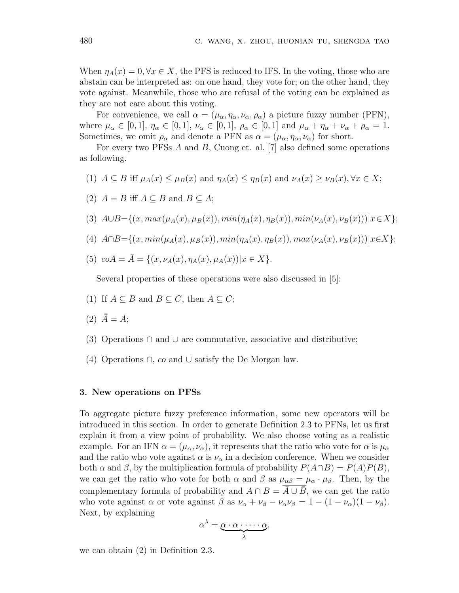When  $\eta_A(x) = 0, \forall x \in X$ , the PFS is reduced to IFS. In the voting, those who are abstain can be interpreted as: on one hand, they vote for; on the other hand, they vote against. Meanwhile, those who are refusal of the voting can be explained as they are not care about this voting.

For convenience, we call  $\alpha = (\mu_{\alpha}, \eta_{\alpha}, \nu_{\alpha}, \rho_{\alpha})$  a picture fuzzy number (PFN), where  $\mu_{\alpha} \in [0, 1], \eta_{\alpha} \in [0, 1], \nu_{\alpha} \in [0, 1], \rho_{\alpha} \in [0, 1]$  and  $\mu_{\alpha} + \eta_{\alpha} + \nu_{\alpha} + \rho_{\alpha} = 1$ . Sometimes, we omit  $\rho_{\alpha}$  and denote a PFN as  $\alpha = (\mu_{\alpha}, \eta_{\alpha}, \nu_{\alpha})$  for short.

For every two PFSs *A* and *B*, Cuong et. al. [7] also defined some operations as following.

- (1)  $A \subseteq B$  iff  $\mu_A(x) \leq \mu_B(x)$  and  $\eta_A(x) \leq \eta_B(x)$  and  $\nu_A(x) \geq \nu_B(x), \forall x \in X$ ;
- (2)  $A = B$  iff  $A ⊆ B$  and  $B ⊆ A$ ;

(3) 
$$
A \cup B = \{(x, max(\mu_A(x), \mu_B(x)), min(\eta_A(x), \eta_B(x)), min(\nu_A(x), \nu_B(x))) | x \in X \};
$$

- (4)  $A \cap B = \{(x, min(\mu_A(x), \mu_B(x)), min(\eta_A(x), \eta_B(x)), max(\nu_A(x), \nu_B(x))) | x \in X \};$
- $(5)$   $coA = \overline{A} = \{(x, \nu_A(x), \eta_A(x), \mu_A(x)) | x \in X\}.$

Several properties of these operations were also discussed in [5]:

- (1) If  $A \subseteq B$  and  $B \subseteq C$ , then  $A \subseteq C$ ;
- (2)  $\bar{\bar{A}} = A;$
- (3) Operations *∩* and *∪* are commutative, associative and distributive;
- (4) Operations *∩*, *co* and *∪* satisfy the De Morgan law.

### **3. New operations on PFSs**

To aggregate picture fuzzy preference information, some new operators will be introduced in this section. In order to generate Definition 2.3 to PFNs, let us first explain it from a view point of probability. We also choose voting as a realistic example. For an IFN  $\alpha = (\mu_{\alpha}, \nu_{\alpha})$ , it represents that the ratio who vote for  $\alpha$  is  $\mu_{\alpha}$ and the ratio who vote against  $\alpha$  is  $\nu_{\alpha}$  in a decision conference. When we consider both *α* and *β*, by the multiplication formula of probability *P*(*A∩B*) = *P*(*A*)*P*(*B*), we can get the ratio who vote for both  $\alpha$  and  $\beta$  as  $\mu_{\alpha\beta} = \mu_{\alpha} \cdot \mu_{\beta}$ . Then, by the complementary formula of probability and  $A \cap B = \overline{A} \cup \overline{B}$ , we can get the ratio who vote against  $\alpha$  or vote against  $\beta$  as  $\nu_{\alpha} + \nu_{\beta} - \nu_{\alpha} \nu_{\beta} = 1 - (1 - \nu_{\alpha})(1 - \nu_{\beta}).$ Next, by explaining

$$
\alpha^{\lambda} = \underbrace{\alpha \cdot \alpha \cdot \cdots \cdot \alpha}_{\lambda},
$$

we can obtain (2) in Definition 2.3.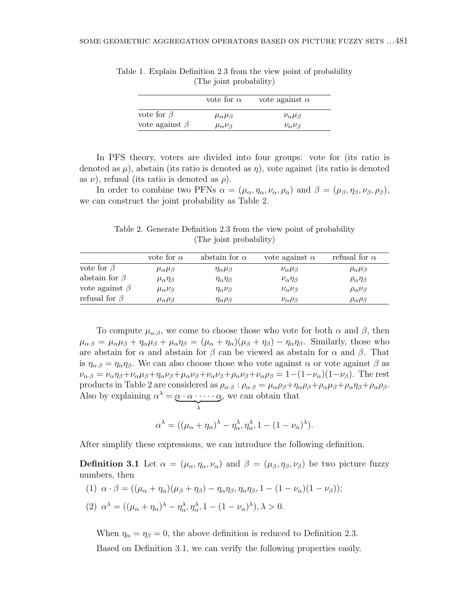|                      | vote for $\alpha$          | vote against $\alpha$     |
|----------------------|----------------------------|---------------------------|
| vote for $\beta$     | $\mu_{\alpha}\mu_{\beta}$  | $\nu_{\alpha}\mu_{\beta}$ |
| vote against $\beta$ | $\mu_{\alpha} \nu_{\beta}$ | $\nu_{\alpha}\nu_{\beta}$ |

Table 1. Explain Definition 2.3 from the view point of probability (The joint probability)

In PFS theory, voters are divided into four groups: vote for (its ratio is denoted as  $\mu$ ), abstain (its ratio is denoted as  $\eta$ ), vote against (its ratio is denoted as  $\nu$ ), refusal (its ratio is denoted as  $\rho$ ).

In order to combine two PFNs  $\alpha = (\mu_{\alpha}, \eta_{\alpha}, \nu_{\alpha}, \rho_{\alpha})$  and  $\beta = (\mu_{\beta}, \eta_{\beta}, \nu_{\beta}, \rho_{\beta})$ , we can construct the joint probability as Table 2.

Table 2. Generate Definition 2.3 from the view point of probability (The joint probability)

|                      | vote for $\alpha$          | abstain for $\alpha$        | vote against $\alpha$       | refusal for $\alpha$        |
|----------------------|----------------------------|-----------------------------|-----------------------------|-----------------------------|
| vote for $\beta$     | $\mu_{\alpha}\mu_{\beta}$  | $\eta_{\alpha}\mu_{\beta}$  | $\nu_{\alpha}\mu_{\beta}$   | $\rho_{\alpha}\mu_{\beta}$  |
| abstain for $\beta$  | $\mu_{\alpha}\eta_{\beta}$ | $\eta_{\alpha}\eta_{\beta}$ | $\nu_{\alpha}\eta_{\beta}$  | $\rho_{\alpha}\eta_{\beta}$ |
| vote against $\beta$ | $\mu_{\alpha} \nu_{\beta}$ | $\eta_{\alpha} \nu_{\beta}$ | $\nu_{\alpha}\nu_{\beta}$   | $\rho_{\alpha} \nu_{\beta}$ |
| refusal for $\beta$  | $\mu_{\alpha}\rho_{\beta}$ | $\eta_{\alpha}\rho_{\beta}$ | $\nu_{\alpha} \rho_{\beta}$ | $\rho_{\alpha}\rho_{\beta}$ |

To compute  $\mu_{\alpha,\beta}$ , we come to choose those who vote for both  $\alpha$  and  $\beta$ , then  $\mu_{\alpha\beta} = \mu_{\alpha}\mu_{\beta} + \eta_{\alpha}\mu_{\beta} + \mu_{\alpha}\eta_{\beta} = (\mu_{\alpha} + \eta_{\alpha})(\mu_{\beta} + \eta_{\beta}) - \eta_{\alpha}\eta_{\beta}$ . Similarly, those who are abstain for  $\alpha$  and abstain for  $\beta$  can be viewed as abstain for  $\alpha$  and  $\beta$ . That is  $\eta_{\alpha\beta} = \eta_{\alpha}\eta_{\beta}$ . We can also choose those who vote against  $\alpha$  or vote against  $\beta$  as  $\nu_{\alpha\beta} = \nu_{\alpha}\eta_{\beta} + \nu_{\alpha}\mu_{\beta} + \eta_{\alpha}\nu_{\beta} + \mu_{\alpha}\nu_{\beta} + \nu_{\alpha}\nu_{\beta} + \rho_{\alpha}\nu_{\beta} + \nu_{\alpha}\rho_{\beta} = 1 - (1 - \nu_{\alpha})(1 - \nu_{\beta}).$  The rest products in Table 2 are considered as  $\rho_{\alpha\cdot\beta}$ :  $\rho_{\alpha\cdot\beta} = \mu_{\alpha}\rho_{\beta} + \eta_{\alpha}\rho_{\beta} + \rho_{\alpha}\mu_{\beta} + \rho_{\alpha}\eta_{\beta} + \rho_{\alpha}\rho_{\beta}$ . Also by explaining  $\alpha^{\lambda} = \underbrace{\alpha \cdot \alpha \cdot \cdots \cdot \alpha}_{\lambda}$ , we can obtain that

$$
\alpha^{\lambda} = ((\mu_{\alpha} + \eta_{\alpha})^{\lambda} - \eta_{\alpha}^{\lambda}, \eta_{\alpha}^{\lambda}, 1 - (1 - \nu_{\alpha})^{\lambda}).
$$

After simplify these expressions, we can introduce the following definition.

**Definition 3.1** Let  $\alpha = (\mu_{\alpha}, \eta_{\alpha}, \nu_{\alpha})$  and  $\beta = (\mu_{\beta}, \eta_{\beta}, \nu_{\beta})$  be two picture fuzzy numbers, then

(1)  $\alpha \cdot \beta = ((\mu_{\alpha} + \eta_{\alpha})(\mu_{\beta} + \eta_{\beta}) - \eta_{\alpha}\eta_{\beta}, \eta_{\alpha}\eta_{\beta}, 1 - (1 - \nu_{\alpha})(1 - \nu_{\beta}));$  $(2)$   $\alpha^{\lambda} = ((\mu_{\alpha} + \eta_{\alpha})^{\lambda} - \eta_{\alpha}^{\lambda}, \eta_{\alpha}^{\lambda}, 1 - (1 - \nu_{\alpha})^{\lambda}), \lambda > 0.$ 

When  $\eta_{\alpha} = \eta_{\beta} = 0$ , the above definition is reduced to Definition 2.3. Based on Definition 3.1, we can verify the following properties easily.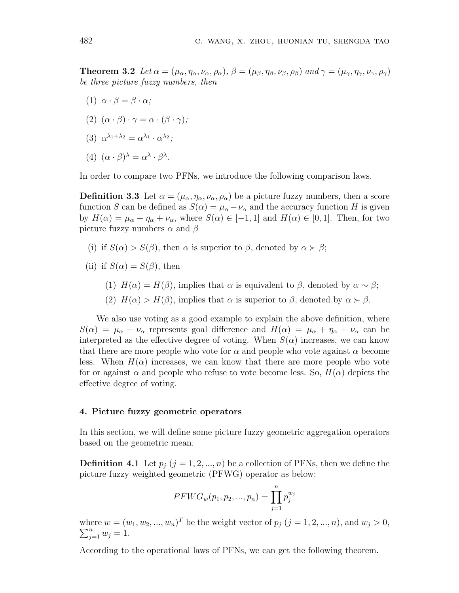**Theorem 3.2** Let  $\alpha = (\mu_{\alpha}, \eta_{\alpha}, \nu_{\alpha}, \rho_{\alpha})$ ,  $\beta = (\mu_{\beta}, \eta_{\beta}, \nu_{\beta}, \rho_{\beta})$  and  $\gamma = (\mu_{\gamma}, \eta_{\gamma}, \nu_{\gamma}, \rho_{\gamma})$ *be three picture fuzzy numbers, then*

- (1)  $\alpha \cdot \beta = \beta \cdot \alpha$ ;
- $(2)$   $(\alpha \cdot \beta) \cdot \gamma = \alpha \cdot (\beta \cdot \gamma);$
- (3)  $\alpha^{\lambda_1+\lambda_2} = \alpha^{\lambda_1} \cdot \alpha^{\lambda_2};$
- (4)  $(\alpha \cdot \beta)^{\lambda} = \alpha^{\lambda} \cdot \beta^{\lambda}$ .

In order to compare two PFNs, we introduce the following comparison laws.

**Definition 3.3** Let  $\alpha = (\mu_{\alpha}, \eta_{\alpha}, \nu_{\alpha}, \rho_{\alpha})$  be a picture fuzzy numbers, then a score function *S* can be defined as  $S(\alpha) = \mu_{\alpha} - \nu_{\alpha}$  and the accuracy function *H* is given by  $H(\alpha) = \mu_{\alpha} + \eta_{\alpha} + \nu_{\alpha}$ , where  $S(\alpha) \in [-1, 1]$  and  $H(\alpha) \in [0, 1]$ . Then, for two picture fuzzy numbers *α* and *β*

- (i) if  $S(\alpha) > S(\beta)$ , then  $\alpha$  is superior to  $\beta$ , denoted by  $\alpha \succ \beta$ ;
- (ii) if  $S(\alpha) = S(\beta)$ , then
	- (1)  $H(\alpha) = H(\beta)$ , implies that  $\alpha$  is equivalent to  $\beta$ , denoted by  $\alpha \sim \beta$ ;
	- (2)  $H(\alpha) > H(\beta)$ , implies that  $\alpha$  is superior to  $\beta$ , denoted by  $\alpha > \beta$ .

We also use voting as a good example to explain the above definition, where *S*( $\alpha$ ) =  $\mu_{\alpha} - \nu_{\alpha}$  represents goal difference and  $H(\alpha) = \mu_{\alpha} + \eta_{\alpha} + \nu_{\alpha}$  can be interpreted as the effective degree of voting. When  $S(\alpha)$  increases, we can know that there are more people who vote for  $\alpha$  and people who vote against  $\alpha$  become less. When  $H(\alpha)$  increases, we can know that there are more people who vote for or against  $\alpha$  and people who refuse to vote become less. So,  $H(\alpha)$  depicts the effective degree of voting.

## **4. Picture fuzzy geometric operators**

In this section, we will define some picture fuzzy geometric aggregation operators based on the geometric mean.

**Definition 4.1** Let  $p_j$   $(j = 1, 2, ..., n)$  be a collection of PFNs, then we define the picture fuzzy weighted geometric (PFWG) operator as below:

$$
PFWG_w(p_1, p_2, ..., p_n) = \prod_{j=1}^{n} p_j^{w_j}
$$

where  $w = (w_1, w_2, ..., w_n)^T$  be the weight vector of  $p_j$   $(j = 1, 2, ..., n)$ , and  $w_j > 0$ ,  $\sum_{j=1}^{n} w_j = 1.$ 

According to the operational laws of PFNs, we can get the following theorem.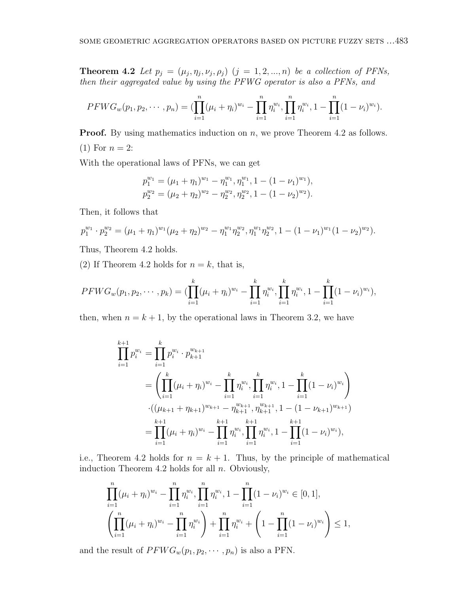**Theorem 4.2** *Let*  $p_j = (\mu_j, \eta_j, \nu_j, \rho_j)$   $(j = 1, 2, ..., n)$  *be a collection of PFNs, then their aggregated value by using the PFWG operator is also a PFNs, and*

$$
PFWG_w(p_1, p_2, \cdots, p_n) = (\prod_{i=1}^n (\mu_i + \eta_i)^{w_i} - \prod_{i=1}^n \eta_i^{w_i}, \prod_{i=1}^n \eta_i^{w_i}, 1 - \prod_{i=1}^n (1 - \nu_i)^{w_i}).
$$

**Proof.** By using mathematics induction on *n*, we prove Theorem 4.2 as follows.  $(1)$  For  $n = 2$ :

With the operational laws of PFNs, we can get

$$
p_1^{w_1} = (\mu_1 + \eta_1)^{w_1} - \eta_1^{w_1}, \eta_1^{w_1}, 1 - (1 - \nu_1)^{w_1}),
$$
  
\n
$$
p_2^{w_2} = (\mu_2 + \eta_2)^{w_2} - \eta_2^{w_2}, \eta_2^{w_2}, 1 - (1 - \nu_2)^{w_2}).
$$

Then, it follows that

$$
p_1^{w_1} \cdot p_2^{w_2} = (\mu_1 + \eta_1)^{w_1} (\mu_2 + \eta_2)^{w_2} - \eta_1^{w_1} \eta_2^{w_2}, \eta_1^{w_1} \eta_2^{w_2}, 1 - (1 - \nu_1)^{w_1} (1 - \nu_2)^{w_2}).
$$

Thus, Theorem 4.2 holds.

(2) If Theorem 4.2 holds for  $n = k$ , that is,

$$
PFWG_w(p_1, p_2, \cdots, p_k) = (\prod_{i=1}^k (\mu_i + \eta_i)^{w_i} - \prod_{i=1}^k \eta_i^{w_i}, \prod_{i=1}^k \eta_i^{w_i}, 1 - \prod_{i=1}^k (1 - \nu_i)^{w_i}),
$$

then, when  $n = k + 1$ , by the operational laws in Theorem 3.2, we have

$$
\prod_{i=1}^{k+1} p_i^{w_i} = \prod_{i=1}^k p_i^{w_i} \cdot p_{k+1}^{w_{k+1}}
$$
\n
$$
= \left( \prod_{i=1}^k (\mu_i + \eta_i)^{w_i} - \prod_{i=1}^k \eta_i^{w_i}, \prod_{i=1}^k \eta_i^{w_i}, 1 - \prod_{i=1}^k (1 - \nu_i)^{w_i} \right)
$$
\n
$$
\cdot ((\mu_{k+1} + \eta_{k+1})^{w_{k+1}} - \eta_{k+1}^{w_{k+1}}, \eta_{k+1}^{w_{k+1}}, 1 - (1 - \nu_{k+1})^{w_{k+1}})
$$
\n
$$
= \prod_{i=1}^{k+1} (\mu_i + \eta_i)^{w_i} - \prod_{i=1}^{k+1} \eta_i^{w_i}, \prod_{i=1}^{k+1} \eta_i^{w_i}, 1 - \prod_{i=1}^{k+1} (1 - \nu_i)^{w_i}),
$$

i.e., Theorem 4.2 holds for  $n = k + 1$ . Thus, by the principle of mathematical induction Theorem 4.2 holds for all *n*. Obviously,

$$
\prod_{i=1}^{n} (\mu_i + \eta_i)^{w_i} - \prod_{i=1}^{n} \eta_i^{w_i}, \prod_{i=1}^{n} \eta_i^{w_i}, 1 - \prod_{i=1}^{n} (1 - \nu_i)^{w_i} \in [0, 1],
$$
  

$$
\left( \prod_{i=1}^{n} (\mu_i + \eta_i)^{w_i} - \prod_{i=1}^{n} \eta_i^{w_i} \right) + \prod_{i=1}^{n} \eta_i^{w_i} + \left( 1 - \prod_{i=1}^{n} (1 - \nu_i)^{w_i} \right) \le 1,
$$

and the result of  $PFWG_w(p_1, p_2, \dots, p_n)$  is also a PFN.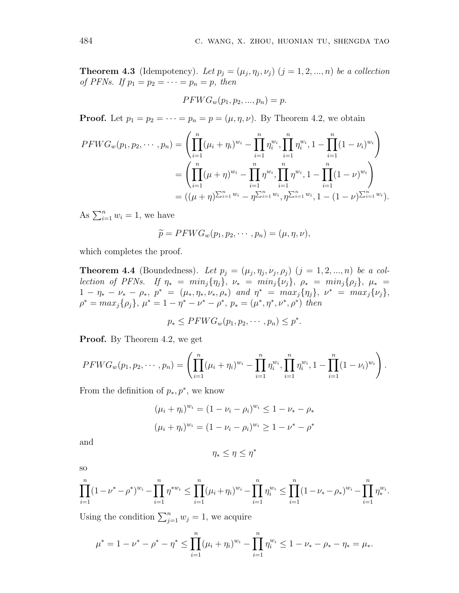**Theorem 4.3** (Idempotency). Let  $p_j = (\mu_j, \eta_j, \nu_j)$   $(j = 1, 2, ..., n)$  be a collection *of PFNs. If*  $p_1 = p_2 = \cdots = p_n = p$ *, then* 

$$
PFWG_w(p_1, p_2, ..., p_n) = p.
$$

**Proof.** Let  $p_1 = p_2 = \cdots = p_n = p = (\mu, \eta, \nu)$ . By Theorem 4.2, we obtain

$$
PFWG_w(p_1, p_2, \dots, p_n) = \left(\prod_{i=1}^n (\mu_i + \eta_i)^{w_i} - \prod_{i=1}^n \eta_i^{w_i}, \prod_{i=1}^n \eta_i^{w_i}, 1 - \prod_{i=1}^n (1 - \nu_i)^{w_i}\right)
$$
  
= 
$$
\left(\prod_{i=1}^n (\mu + \eta)^{w_i} - \prod_{i=1}^n \eta^{w_i}, \prod_{i=1}^n \eta^{w_i}, 1 - \prod_{i=1}^n (1 - \nu)^{w_i}\right)
$$
  
= 
$$
((\mu + \eta)^{\sum_{i=1}^n w_i} - \eta^{\sum_{i=1}^n w_i}, \eta^{\sum_{i=1}^n w_i}, 1 - (1 - \nu)^{\sum_{i=1}^n w_i}).
$$

As  $\sum_{i=1}^{n} w_i = 1$ , we have

$$
\widetilde{p} = PFWG_w(p_1, p_2, \cdots, p_n) = (\mu, \eta, \nu),
$$

which completes the proof.

**Theorem 4.4** (Boundedness). Let  $p_j = (\mu_j, \eta_j, \nu_j, \rho_j)$   $(j = 1, 2, ..., n)$  be a collection of PFNs. If  $\eta_* = \min_j \{\eta_j\}, \ \nu_* = \min_j \{\nu_j\}, \ \rho_* = \min_j \{\rho_j\}, \ \mu_* =$  $1 - \eta_* - \nu_* - \rho_*$ ,  $p^* = (\mu_*, \eta_*, \nu_*, \rho_*)$  and  $p^* = \max_j \{\eta_j\}, \ \nu^* = \max_j \{\nu_j\},$  $\rho^* = max_j \{\rho_j\}, \mu^* = 1 - \eta^* - \nu^* - \rho^*, \ p_* = (\mu^*, \eta^*, \nu^*, \rho^*)$  then

$$
p_* \leq PFWG_w(p_1, p_2, \cdots, p_n) \leq p^*.
$$

**Proof.** By Theorem 4.2, we get

$$
PFWG_w(p_1, p_2, \cdots, p_n) = \left(\prod_{i=1}^n (\mu_i + \eta_i)^{w_i} - \prod_{i=1}^n \eta_i^{w_i}, \prod_{i=1}^n \eta_i^{w_i}, 1 - \prod_{i=1}^n (1 - \nu_i)^{w_i}\right).
$$

From the definition of  $p_*$ ,  $p^*$ , we know

$$
(\mu_i + \eta_i)^{w_i} = (1 - \nu_i - \rho_i)^{w_i} \le 1 - \nu_* - \rho_*
$$

$$
(\mu_i + \eta_i)^{w_i} = (1 - \nu_i - \rho_i)^{w_i} \ge 1 - \nu^* - \rho^*
$$

and

$$
\eta_* \leq \eta \leq \eta^*
$$

so

$$
\prod_{i=1}^n (1 - \nu^* - \rho^*)^{w_i} - \prod_{i=1}^n \eta^{*w_i} \le \prod_{i=1}^n (\mu_i + \eta_i)^{w_i} - \prod_{i=1}^n \eta_i^{w_i} \le \prod_{i=1}^n (1 - \nu_* - \rho_*)^{w_i} - \prod_{i=1}^n \eta_*^{w_i}.
$$

Using the condition  $\sum_{j=1}^{n} w_j = 1$ , we acquire

$$
\mu^* = 1 - \nu^* - \rho^* - \eta^* \le \prod_{i=1}^n (\mu_i + \eta_i)^{w_i} - \prod_{i=1}^n \eta_i^{w_i} \le 1 - \nu_* - \rho_* - \eta_* = \mu_*.
$$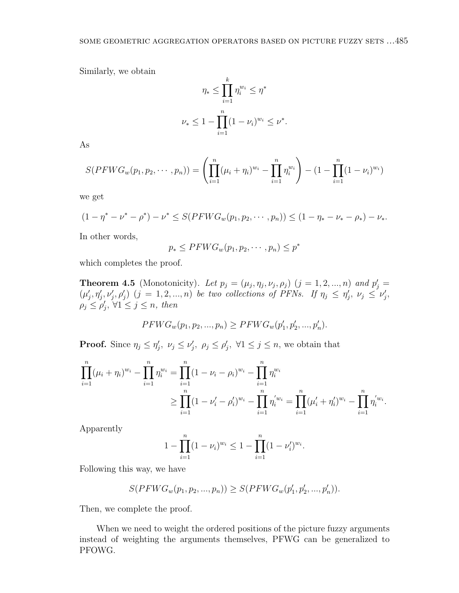Similarly, we obtain

$$
\eta_* \le \prod_{i=1}^k \eta_i^{w_i} \le \eta^*
$$
  

$$
\nu_* \le 1 - \prod_{i=1}^n (1 - \nu_i)^{w_i} \le \nu^*.
$$

As

$$
S(PFWG_w(p_1, p_2, \cdots, p_n)) = \left(\prod_{i=1}^n (\mu_i + \eta_i)^{w_i} - \prod_{i=1}^n \eta_i^{w_i}\right) - (1 - \prod_{i=1}^n (1 - \nu_i)^{w_i})
$$

we get

$$
(1 - \eta^* - \nu^* - \rho^*) - \nu^* \leq S(PFWG_w(p_1, p_2, \cdots, p_n)) \leq (1 - \eta_* - \nu_* - \rho_*) - \nu_*.
$$

In other words,

$$
p_* \leq PFWG_w(p_1, p_2, \cdots, p_n) \leq p^*
$$

which completes the proof.

**Theorem 4.5** (Monotonicity)*. Let*  $p_j = (\mu_j, \eta_j, \nu_j, \rho_j)$   $(j = 1, 2, ..., n)$  and  $p'_j =$  $(\mu'_j, \eta'_j, \nu'_j, \rho'_j)$   $(j = 1, 2, ..., n)$  be two collections of PFNs. If  $\eta_j \leq \eta'_j$ ,  $\nu_j \leq \nu'_j$ ,  $\rho_j \leq \rho'_j, \forall 1 \leq j \leq n, \text{ then}$ 

$$
PFWG_w(p_1, p_2, ..., p_n) \ge PFWG_w(p'_1, p'_2, ..., p'_n).
$$

**Proof.** Since  $\eta_j \leq \eta'_j$ ,  $\nu_j \leq \nu'_j$ ,  $\rho_j \leq \rho'_j$ ,  $\forall 1 \leq j \leq n$ , we obtain that

$$
\prod_{i=1}^{n} (\mu_i + \eta_i)^{w_i} - \prod_{i=1}^{n} \eta_i^{w_i} = \prod_{i=1}^{n} (1 - \nu_i - \rho_i)^{w_i} - \prod_{i=1}^{n} \eta_i^{w_i}
$$
\n
$$
\geq \prod_{i=1}^{n} (1 - \nu_i' - \rho_i')^{w_i} - \prod_{i=1}^{n} \eta_i'^{w_i} = \prod_{i=1}^{n} (\mu_i' + \eta_i')^{w_i} - \prod_{i=1}^{n} \eta_i'^{w_i}.
$$

Apparently

$$
1 - \prod_{i=1}^{n} (1 - \nu_i)^{w_i} \le 1 - \prod_{i=1}^{n} (1 - \nu_i')^{w_i}
$$

*.*

Following this way, we have

$$
S(PFWG_w(p_1, p_2, ..., p_n)) \geq S(PFWG_w(p'_1, p'_2, ..., p'_n)).
$$

Then, we complete the proof.

When we need to weight the ordered positions of the picture fuzzy arguments instead of weighting the arguments themselves, PFWG can be generalized to PFOWG.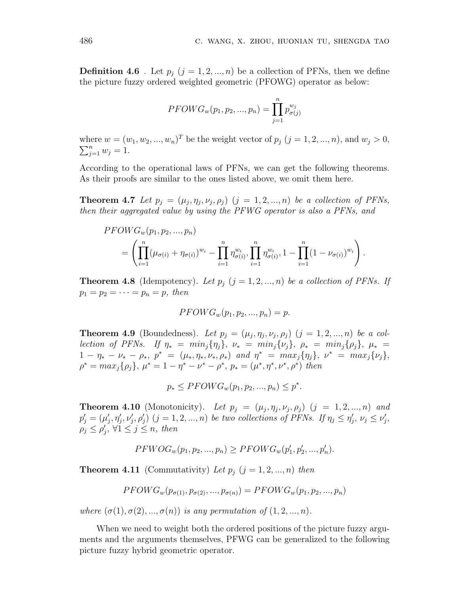**Definition 4.6** . Let  $p_j$   $(j = 1, 2, ..., n)$  be a collection of PFNs, then we define the picture fuzzy ordered weighted geometric (PFOWG) operator as below:

$$
PFOWG_w(p_1, p_2, ..., p_n) = \prod_{j=1}^{n} p_{\sigma(j)}^{w_j}
$$

where  $w = (w_1, w_2, ..., w_n)^T$  be the weight vector of  $p_j$   $(j = 1, 2, ..., n)$ , and  $w_j > 0$ ,  $\sum_{j=1}^{n} w_j = 1.$ 

According to the operational laws of PFNs, we can get the following theorems. As their proofs are similar to the ones listed above, we omit them here.

**Theorem 4.7** *Let*  $p_j = (\mu_j, \eta_j, \nu_j, \rho_j)$   $(j = 1, 2, ..., n)$  *be a collection of PFNs, then their aggregated value by using the PFWG operator is also a PFNs, and*

$$
PFOWG_w(p_1, p_2, ..., p_n)
$$
  
=  $\left( \prod_{i=1}^n (\mu_{\sigma(i)} + \eta_{\sigma(i)})^{w_i} - \prod_{i=1}^n \eta_{\sigma(i)}^{w_i}, \prod_{i=1}^n \eta_{\sigma(i)}^{w_i}, 1 - \prod_{i=1}^n (1 - \nu_{\sigma(i)})^{w_i} \right).$ 

**Theorem 4.8** (Idempotency). Let  $p_j$   $(j = 1, 2, ..., n)$  be a collection of PFNs. If  $p_1 = p_2 = \cdots = p_n = p$ *, then* 

$$
PFOWG_w(p_1, p_2, ..., p_n) = p.
$$

**Theorem 4.9** (Boundedness). Let  $p_j = (\mu_j, \eta_j, \nu_j, \rho_j)$   $(j = 1, 2, ..., n)$  be a collection of PFNs. If  $\eta_* = \min_j \{ \eta_j \}, \ \nu_* = \min_j \{ \nu_j \}, \ \rho_* = \min_j \{ \rho_j \}, \ \mu_* =$  $1 - \eta_* - \nu_* - \rho_*$ ,  $p^* = (\mu_*, \eta_*, \nu_*, \rho_*)$  and  $\eta^* = \max_j {\eta_j}, \ \nu^* = \max_j {\nu_j},$  $\rho^* = max_j \{\rho_j\}, \mu^* = 1 - \eta^* - \nu^* - \rho^*, \ p_* = (\mu^*, \eta^*, \nu^*, \rho^*)$  then

$$
p_* \le PFOWG_w(p_1, p_2, ..., p_n) \le p^*.
$$

**Theorem 4.10** (Monotonicity). Let  $p_j = (\mu_j, \eta_j, \nu_j, \rho_j)$   $(j = 1, 2, ..., n)$  and  $p'_j=(\mu'_j,\eta'_j,\nu'_j,\rho'_j)$   $(j=1,2,...,n)$  be two collections of PFNs. If  $\eta_j \leq \eta'_j$ ,  $\nu_j \leq \nu'_j$ ,  $\rho_j \leq \rho'_j, \forall 1 \leq j \leq n, \text{ then}$ 

$$
PFWOG_w(p_1, p_2, ..., p_n) \ge PFOWG_w(p'_1, p'_2, ..., p'_n).
$$

**Theorem 4.11** (Commutativity) Let  $p_j$  ( $j = 1, 2, ..., n$ ) then

$$
PFOWG_w(p_{\sigma(1)}, p_{\sigma(2)}, ..., p_{\sigma(n)}) = PFOWG_w(p_1, p_2, ..., p_n)
$$

*where*  $(\sigma(1), \sigma(2), ..., \sigma(n))$  *is any permutation of*  $(1, 2, ..., n)$ *.* 

When we need to weight both the ordered positions of the picture fuzzy arguments and the arguments themselves, PFWG can be generalized to the following picture fuzzy hybrid geometric operator.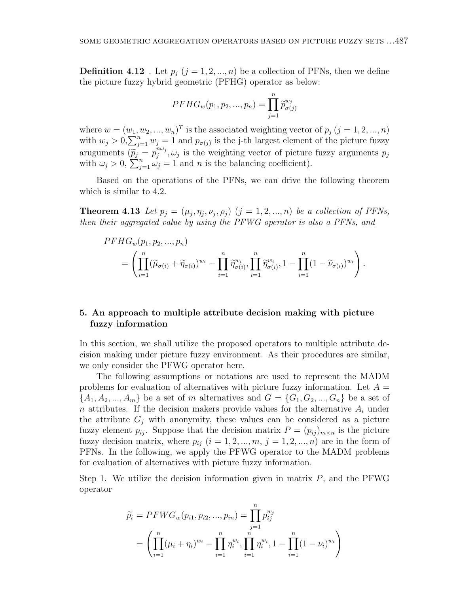**Definition 4.12** . Let  $p_j$   $(j = 1, 2, ..., n)$  be a collection of PFNs, then we define the picture fuzzy hybrid geometric (PFHG) operator as below:

$$
PFHG_w(p_1, p_2, ..., p_n) = \prod_{j=1}^{n} \tilde{p}_{\sigma(j)}^{w_j}
$$

where  $w = (w_1, w_2, ..., w_n)^T$  is the associated weighting vector of  $p_j$  ( $j = 1, 2, ..., n$ ) with  $w_j > 0$ ,  $\sum_{j=1}^n w_j = 1$  and  $p_{\sigma(j)}$  is the j-th largest element of the picture fuzzy aruguments  $(\widetilde{p}_j = p_j^{n\omega_j})$  $\int_j^{n\omega_j}$ ,  $\omega_j$  is the weighting vector of picture fuzzy arguments  $p_j$ with  $\omega_j > 0$ ,  $\sum_{j=1}^n \omega_j = 1$  and *n* is the balancing coefficient).

Based on the operations of the PFNs, we can drive the following theorem which is similar to 4.2.

**Theorem 4.13** *Let*  $p_j = (\mu_j, \eta_j, \nu_j, \rho_j)$   $(j = 1, 2, ..., n)$  *be a collection of PFNs, then their aggregated value by using the PFWG operator is also a PFNs, and*

$$
PFHG_w(p_1, p_2, ..., p_n)
$$
  
=  $\left( \prod_{i=1}^n (\widetilde{\mu}_{\sigma(i)} + \widetilde{\eta}_{\sigma(i)})^{w_i} - \prod_{i=1}^n \widetilde{\eta}_{\sigma(i)}^{w_i}, \prod_{i=1}^n \widetilde{\eta}_{\sigma(i)}^{w_i}, 1 - \prod_{i=1}^n (1 - \widetilde{\nu}_{\sigma(i)})^{w_i} \right).$ 

# **5. An approach to multiple attribute decision making with picture fuzzy information**

In this section, we shall utilize the proposed operators to multiple attribute decision making under picture fuzzy environment. As their procedures are similar, we only consider the PFWG operator here.

The following assumptions or notations are used to represent the MADM problems for evaluation of alternatives with picture fuzzy information. Let *A* =  ${A_1, A_2, ..., A_m}$  be a set of *m* alternatives and  $G = {G_1, G_2, ..., G_n}$  be a set of *n* attributes. If the decision makers provide values for the alternative *A<sup>i</sup>* under the attribute  $G_i$  with anonymity, these values can be considered as a picture fuzzy element  $p_{ij}$ . Suppose that the decision matrix  $P = (p_{ij})_{m \times n}$  is the picture fuzzy decision matrix, where  $p_{ij}$  ( $i = 1, 2, ..., m, j = 1, 2, ..., n$ ) are in the form of PFNs. In the following, we apply the PFWG operator to the MADM problems for evaluation of alternatives with picture fuzzy information.

Step 1. We utilize the decision information given in matrix *P*, and the PFWG operator

$$
\widetilde{p_i} = PFWG_w(p_{i1}, p_{i2}, ..., p_{in}) = \prod_{j=1}^n p_{ij}^{w_j}
$$
\n
$$
= \left( \prod_{i=1}^n (\mu_i + \eta_i)^{w_i} - \prod_{i=1}^n \eta_i^{w_i}, \prod_{i=1}^n \eta_i^{w_i}, 1 - \prod_{i=1}^n (1 - \nu_i)^{w_i} \right)
$$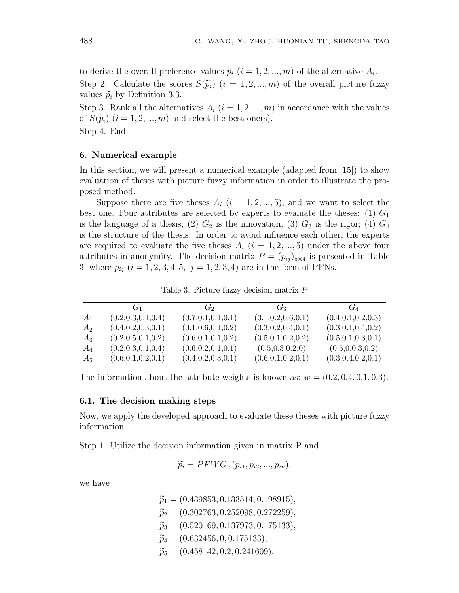to derive the overall preference values  $\widetilde{p}_i$  ( $i = 1, 2, ..., m$ ) of the alternative  $A_i$ . Step 2. Calculate the scores  $S(\widetilde{p}_i)$  ( $i = 1, 2, ..., m$ ) of the overall picture fuzzy values  $\widetilde{p}_i$  by Definition 3.3.

Step 3. Rank all the alternatives  $A_i$  ( $i = 1, 2, ..., m$ ) in accordance with the values of  $S(\widetilde{p}_i)$   $(i = 1, 2, ..., m)$  and select the best one(s).

Step 4. End.

## **6. Numerical example**

In this section, we will present a numerical example (adapted from [15]) to show evaluation of theses with picture fuzzy information in order to illustrate the proposed method.

Suppose there are five theses  $A_i$  ( $i = 1, 2, ..., 5$ ), and we want to select the best one. Four attributes are selected by experts to evaluate the theses: (1) *G*<sup>1</sup> is the language of a thesis; (2)  $G_2$  is the innovation; (3)  $G_3$  is the rigor; (4)  $G_4$ is the structure of the thesis. In order to avoid influence each other, the experts are required to evaluate the five theses  $A_i$  ( $i = 1, 2, ..., 5$ ) under the above four attributes in anonymity. The decision matrix  $P = (p_{ij})_{5 \times 4}$  is presented in Table 3, where  $p_{ij}$  ( $i = 1, 2, 3, 4, 5, j = 1, 2, 3, 4$ ) are in the form of PFNs.

Table 3. Picture fuzzy decision matrix *P*

|       | $G_1$                | $G_2$                | $G_3$                | $G_4$                |
|-------|----------------------|----------------------|----------------------|----------------------|
| $A_1$ | (0.2, 0.3, 0.1, 0.4) | (0.7, 0.1, 0.1, 0.1) | (0.1, 0.2, 0.6, 0.1) | (0.4, 0.1, 0.2, 0.3) |
| $A_2$ | (0.4, 0.2, 0.3, 0.1) | (0.1, 0.6, 0.1, 0.2) | (0.3, 0.2, 0.4, 0.1) | (0.3, 0.1, 0.4, 0.2) |
| $A_3$ | (0.2, 0.5, 0.1, 0.2) | (0.6, 0.1, 0.1, 0.2) | (0.5, 0.1, 0.2, 0.2) | (0.5, 0.1, 0.3, 0.1) |
| $A_4$ | (0.2, 0.3, 0.1, 0.4) | (0.6, 0.2, 0.1, 0.1) | (0.5, 0.3, 0.2, 0)   | (0.5, 0.0.3, 0.2)    |
| $A_5$ | (0.6, 0.1, 0.2, 0.1) | (0.4, 0.2, 0.3, 0.1) | (0.6, 0.1, 0.2, 0.1) | (0.3, 0.4, 0.2, 0.1) |

The information about the attribute weights is known as:  $w = (0.2, 0.4, 0.1, 0.3)$ .

#### **6.1. The decision making steps**

Now, we apply the developed approach to evaluate these theses with picture fuzzy information.

Step 1. Utilize the decision information given in matrix P and

$$
\widetilde{p_i} = PFWG_w(p_{i1}, p_{i2}, ..., p_{in}),
$$

we have

 $\widetilde{p}_1 = (0.439853, 0.133514, 0.198915),$  $\widetilde{p}_2 = (0.302763, 0.252098, 0.272259)$ *<sup>p</sup>*e<sup>3</sup> = (0*.*520169*,* <sup>0</sup>*.*137973*,* <sup>0</sup>*.*175133)*,*  $\widetilde{p}_4 = (0.632456, 0, 0.175133),$  $\widetilde{p}_5 = (0.458142, 0.2, 0.241609)$ .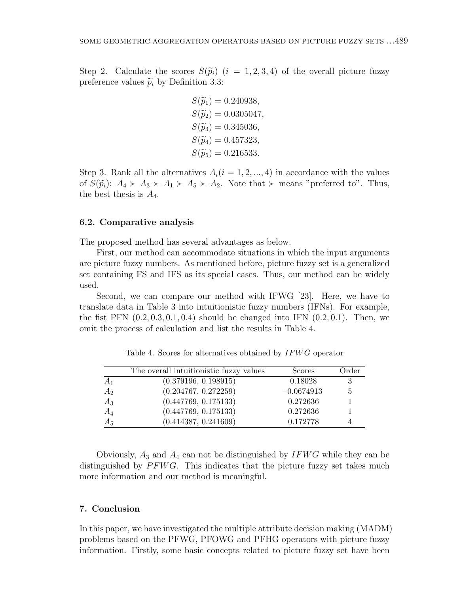Step 2. Calculate the scores  $S(\tilde{p}_i)$  ( $i = 1, 2, 3, 4$ ) of the overall picture fuzzy preference values  $\tilde{p}_i$  by Definition 3.3:

> $S(\tilde{p}_1) = 0.240938$  $S(\widetilde{p}_2) = 0.0305047$ ,  $S(\widetilde{p}_3) = 0.345036$ ,  $S(\widetilde{p}_4) = 0.457323$  $S(\widetilde{p}_5) = 0.216533.$

Step 3. Rank all the alternatives  $A_i(i = 1, 2, ..., 4)$  in accordance with the values of  $S(\widetilde{p}_i): A_4 \succ A_3 \succ A_1 \succ A_5 \succ A_2$ . Note that  $\succ$  means "preferred to". Thus, the best thesis is  $A_4$ .

### **6.2. Comparative analysis**

The proposed method has several advantages as below.

First, our method can accommodate situations in which the input arguments are picture fuzzy numbers. As mentioned before, picture fuzzy set is a generalized set containing FS and IFS as its special cases. Thus, our method can be widely used.

Second, we can compare our method with IFWG [23]. Here, we have to translate data in Table 3 into intuitionistic fuzzy numbers (IFNs). For example, the fist PFN (0*.*2*,* 0*.*3*,* 0*.*1*,* 0*.*4) should be changed into IFN (0*.*2*,* 0*.*1). Then, we omit the process of calculation and list the results in Table 4.

|                | The overall intuitionistic fuzzy values | <b>Scores</b> | Order |
|----------------|-----------------------------------------|---------------|-------|
| A <sub>1</sub> | (0.379196, 0.198915)                    | 0.18028       | 3     |
| $A_2$          | (0.204767, 0.272259)                    | $-0.0674913$  | 5     |
| $A_3$          | (0.447769, 0.175133)                    | 0.272636      |       |
| $A_4$          | (0.447769, 0.175133)                    | 0.272636      |       |
| $A_5$          | (0.414387, 0.241609)                    | 0.172778      |       |

Table 4. Scores for alternatives obtained by *IFW G* operator

Obviously, *A*<sup>3</sup> and *A*<sup>4</sup> can not be distinguished by *IFW G* while they can be distinguished by *PFWG*. This indicates that the picture fuzzy set takes much more information and our method is meaningful.

#### **7. Conclusion**

In this paper, we have investigated the multiple attribute decision making (MADM) problems based on the PFWG, PFOWG and PFHG operators with picture fuzzy information. Firstly, some basic concepts related to picture fuzzy set have been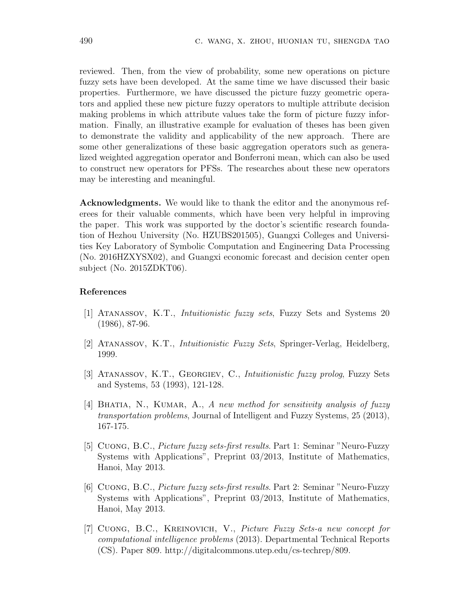reviewed. Then, from the view of probability, some new operations on picture fuzzy sets have been developed. At the same time we have discussed their basic properties. Furthermore, we have discussed the picture fuzzy geometric operators and applied these new picture fuzzy operators to multiple attribute decision making problems in which attribute values take the form of picture fuzzy information. Finally, an illustrative example for evaluation of theses has been given to demonstrate the validity and applicability of the new approach. There are some other generalizations of these basic aggregation operators such as generalized weighted aggregation operator and Bonferroni mean, which can also be used to construct new operators for PFSs. The researches about these new operators may be interesting and meaningful.

**Acknowledgments.** We would like to thank the editor and the anonymous referees for their valuable comments, which have been very helpful in improving the paper. This work was supported by the doctor's scientific research foundation of Hezhou University (No. HZUBS201505), Guangxi Colleges and Universities Key Laboratory of Symbolic Computation and Engineering Data Processing (No. 2016HZXYSX02), and Guangxi economic forecast and decision center open subject (No. 2015ZDKT06).

### **References**

- [1] Atanassov, K.T., *Intuitionistic fuzzy sets*, Fuzzy Sets and Systems 20 (1986), 87-96.
- [2] Atanassov, K.T., *Intuitionistic Fuzzy Sets*, Springer-Verlag, Heidelberg, 1999.
- [3] Atanassov, K.T., Georgiev, C., *Intuitionistic fuzzy prolog*, Fuzzy Sets and Systems, 53 (1993), 121-128.
- [4] Bhatia, N., Kumar, A., *A new method for sensitivity analysis of fuzzy transportation problems*, Journal of Intelligent and Fuzzy Systems, 25 (2013), 167-175.
- [5] Cuong, B.C., *Picture fuzzy sets-first results*. Part 1: Seminar "Neuro-Fuzzy Systems with Applications", Preprint 03/2013, Institute of Mathematics, Hanoi, May 2013.
- [6] Cuong, B.C., *Picture fuzzy sets-first results*. Part 2: Seminar "Neuro-Fuzzy Systems with Applications", Preprint 03/2013, Institute of Mathematics, Hanoi, May 2013.
- [7] Cuong, B.C., Kreinovich, V., *Picture Fuzzy Sets-a new concept for computational intelligence problems* (2013). Departmental Technical Reports (CS). Paper 809. http://digitalcommons.utep.edu/cs-techrep/809.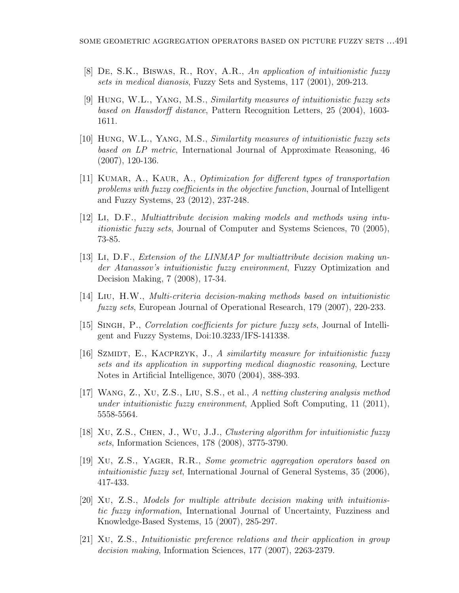- [8] De, S.K., Biswas, R., Roy, A.R., *An application of intuitionistic fuzzy sets in medical dianosis*, Fuzzy Sets and Systems, 117 (2001), 209-213.
- [9] Hung, W.L., Yang, M.S., *Similartity measures of intuitionistic fuzzy sets based on Hausdorff distance*, Pattern Recognition Letters, 25 (2004), 1603- 1611.
- [10] Hung, W.L., Yang, M.S., *Similartity measures of intuitionistic fuzzy sets based on LP metric*, International Journal of Approximate Reasoning, 46 (2007), 120-136.
- [11] Kumar, A., Kaur, A., *Optimization for different types of transportation problems with fuzzy coefficients in the objective function*, Journal of Intelligent and Fuzzy Systems, 23 (2012), 237-248.
- [12] Li, D.F., *Multiattribute decision making models and methods using intuitionistic fuzzy sets*, Journal of Computer and Systems Sciences, 70 (2005), 73-85.
- [13] Li, D.F., *Extension of the LINMAP for multiattribute decision making under Atanassov's intuitionistic fuzzy environment*, Fuzzy Optimization and Decision Making, 7 (2008), 17-34.
- [14] Liu, H.W., *Multi-criteria decision-making methods based on intuitionistic fuzzy sets*, European Journal of Operational Research, 179 (2007), 220-233.
- [15] Singh, P., *Correlation coefficients for picture fuzzy sets*, Journal of Intelligent and Fuzzy Systems, Doi:10.3233/IFS-141338.
- [16] Szmidt, E., Kacprzyk, J., *A similartity measure for intuitionistic fuzzy sets and its application in supporting medical diagnostic reasoning*, Lecture Notes in Artificial Intelligence, 3070 (2004), 388-393.
- [17] Wang, Z., Xu, Z.S., Liu, S.S., et al., *A netting clustering analysis method under intuitionistic fuzzy environment*, Applied Soft Computing, 11 (2011), 5558-5564.
- [18] Xu, Z.S., Chen, J., Wu, J.J., *Clustering algorithm for intuitionistic fuzzy sets*, Information Sciences, 178 (2008), 3775-3790.
- [19] Xu, Z.S., Yager, R.R., *Some geometric aggregation operators based on intuitionistic fuzzy set*, International Journal of General Systems, 35 (2006), 417-433.
- [20] Xu, Z.S., *Models for multiple attribute decision making with intuitionistic fuzzy information*, International Journal of Uncertainty, Fuzziness and Knowledge-Based Systems, 15 (2007), 285-297.
- [21] Xu, Z.S., *Intuitionistic preference relations and their application in group decision making*, Information Sciences, 177 (2007), 2263-2379.